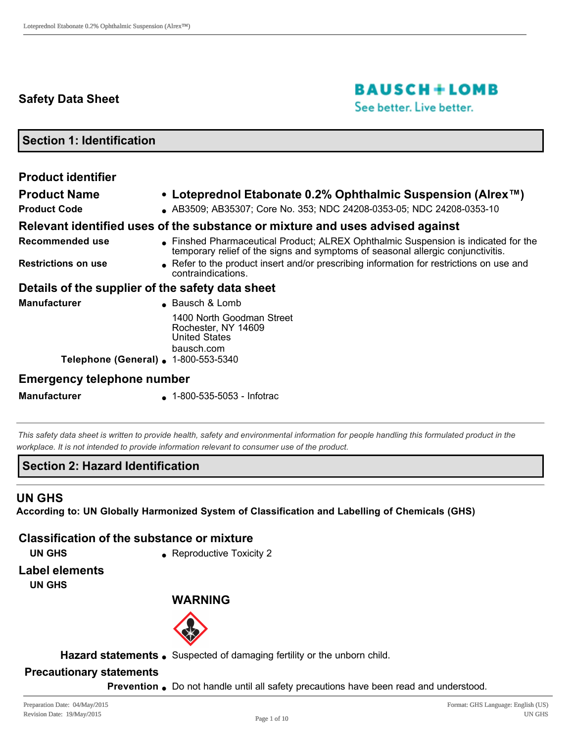# **Safety Data Sheet**

# **BAUSCH+LOMB**

See better. Live better.

**Section 1: Identification**

| <b>Product identifier</b>                        |                                                                                                                                                                     |
|--------------------------------------------------|---------------------------------------------------------------------------------------------------------------------------------------------------------------------|
| <b>Product Name</b>                              | • Loteprednol Etabonate 0.2% Ophthalmic Suspension (Alrex $I^M$ )                                                                                                   |
| <b>Product Code</b>                              | AB3509; AB35307; Core No. 353; NDC 24208-0353-05; NDC 24208-0353-10                                                                                                 |
|                                                  | Relevant identified uses of the substance or mixture and uses advised against                                                                                       |
| Recommended use                                  | Finshed Pharmaceutical Product; ALREX Ophthalmic Suspension is indicated for the<br>temporary relief of the signs and symptoms of seasonal allergic conjunctivitis. |
| <b>Restrictions on use</b>                       | • Refer to the product insert and/or prescribing information for restrictions on use and<br>contraindications.                                                      |
| Details of the supplier of the safety data sheet |                                                                                                                                                                     |
| <b>Manufacturer</b>                              | • Bausch & Lomb                                                                                                                                                     |
|                                                  | 1400 North Goodman Street<br>Rochester, NY 14609<br><b>United States</b><br>bausch.com                                                                              |
| Telephone (General) . 1-800-553-5340             |                                                                                                                                                                     |
| <b>Emergency telephone number</b>                |                                                                                                                                                                     |

**Manufacturer** 1-800-535-5053 - Infotrac

*This safety data sheet is written to provide health, safety and environmental information for people handling this formulated product in the workplace. It is not intended to provide information relevant to consumer use of the product.*

#### **Section 2: Hazard Identification**

# **UN GHS**

**According to: UN Globally Harmonized System of Classification and Labelling of Chemicals (GHS)**

#### **Classification of the substance or mixture**

- 
- **UN GHS Reproductive Toxicity 2**

**Label elements**

**UN GHS**

#### **WARNING**



Hazard statements . Suspected of damaging fertility or the unborn child.

#### **Precautionary statements**

**Prevention** Do not handle until all safety precautions have been read and understood.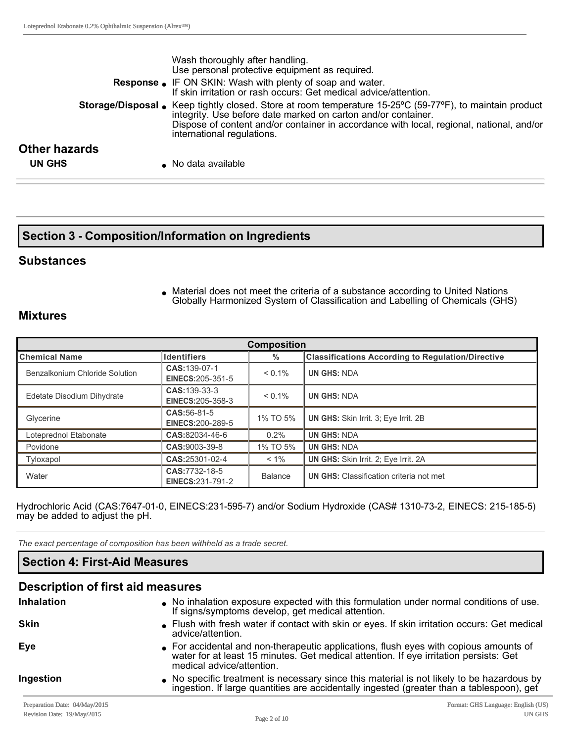|                      | Wash thoroughly after handling.<br>Use personal protective equipment as required.                                                                                                                                                                                                                          |
|----------------------|------------------------------------------------------------------------------------------------------------------------------------------------------------------------------------------------------------------------------------------------------------------------------------------------------------|
|                      | Response • IF ON SKIN: Wash with plenty of soap and water.<br>If skin irritation or rash occurs: Get medical advice/attention.                                                                                                                                                                             |
|                      | <b>Storage/Disposal</b> • Keep tightly closed. Store at room temperature 15-25°C (59-77°F), to maintain product<br>integrity. Use before date marked on carton and/or container.<br>Dispose of content and/or container in accordance with local, regional, national, and/or<br>international regulations. |
| <b>Other hazards</b> |                                                                                                                                                                                                                                                                                                            |
| <b>UN GHS</b>        | • No data available                                                                                                                                                                                                                                                                                        |

#### **Section 3 Composition/Information on Ingredients**

#### **Substances**

• Material does not meet the criteria of a substance according to United Nations Globally Harmonized System of Classification and Labelling of Chemicals (GHS)

#### **Mixtures**

| <b>Composition</b>             |                                           |                |                                                          |
|--------------------------------|-------------------------------------------|----------------|----------------------------------------------------------|
| ∥Chemical Name                 | <b>Identifiers</b>                        | %              | <b>Classifications According to Regulation/Directive</b> |
| Benzalkonium Chloride Solution | CAS: 139-07-1<br>EINECS: 205-351-5        | $< 0.1\%$      | <b>UN GHS: NDA</b>                                       |
| Edetate Disodium Dihydrate     | CAS: 139-33-3<br><b>EINECS:205-358-3</b>  | $< 0.1\%$      | <b>UN GHS: NDA</b>                                       |
| Glycerine                      | CAS:56-81-5<br>EINECS: 200-289-5          | 1% TO 5%       | <b>UN GHS:</b> Skin Irrit. 3; Eye Irrit. 2B              |
| Loteprednol Etabonate          | CAS:82034-46-6                            | $0.2\%$        | <b>UN GHS: NDA</b>                                       |
| Povidone                       | CAS:9003-39-8                             | 1% TO 5%       | <b>UN GHS: NDA</b>                                       |
| Tyloxapol                      | CAS:25301-02-4                            | $< 1\%$        | <b>UN GHS:</b> Skin Irrit. 2; Eye Irrit. 2A              |
| Water                          | CAS: 7732-18-5<br><b>EINECS:231-791-2</b> | <b>Balance</b> | <b>UN GHS:</b> Classification criteria not met           |

Hydrochloric Acid (CAS:7647-01-0, EINECS:231-595-7) and/or Sodium Hydroxide (CAS# 1310-73-2, EINECS: 215-185-5) may be added to adjust the pH.

*The exact percentage of composition has been withheld as a trade secret.*

#### **Section 4: First-Aid Measures**

# **Description of first aid measures**

| Inhalation  | . No inhalation exposure expected with this formulation under normal conditions of use.<br>If signs/symptoms develop, get medical attention.                                                                |
|-------------|-------------------------------------------------------------------------------------------------------------------------------------------------------------------------------------------------------------|
| <b>Skin</b> | • Flush with fresh water if contact with skin or eyes. If skin irritation occurs: Get medical<br>advice/attention.                                                                                          |
| Eye         | • For accidental and non-therapeutic applications, flush eyes with copious amounts of<br>water for at least 15 minutes. Get medical attention. If eye irritation persists: Get<br>medical advice/attention. |
| Ingestion   | No specific treatment is necessary since this material is not likely to be hazardous by<br>ingestion. If large quantities are accidentally ingested (greater than a tablespoon), get                        |
|             |                                                                                                                                                                                                             |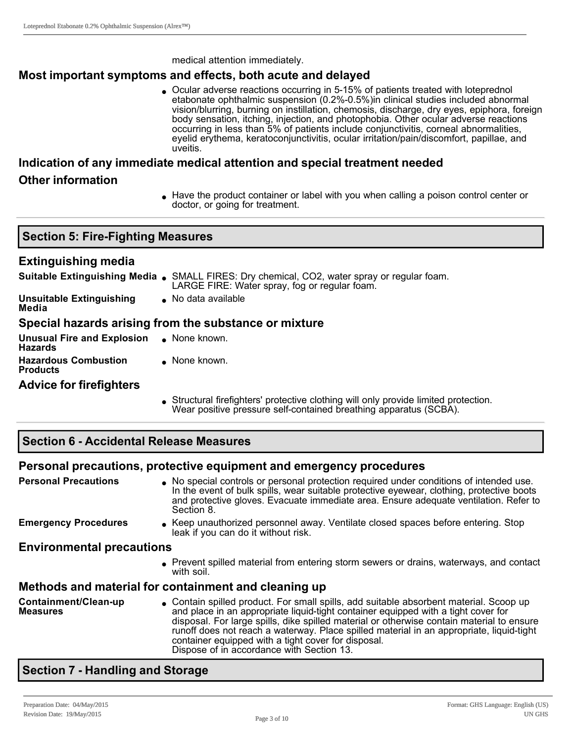medical attention immediately.

## **Most important symptoms and effects, both acute and delayed**

• Ocular adverse reactions occurring in 5-15% of patients treated with loteprednol etabonate ophthalmic suspension (0.2%-0.5%)in clinical studies included abnormal vision/blurring, burning on instillation, chemosis, discharge, dry eyes, epiphora, foreign body sensation, itching, injection, and photophobia. Other ocular adverse reactions occurring in less than 5% of patients include conjunctivitis, corneal abnormalities, eyelid erythema, keratoconjunctivitis, ocular irritation/pain/discomfort, papillae, and uveitis.

# **Indication of any immediate medical attention and special treatment needed Other information**

<sup>l</sup> Have the product container or label with you when calling a poison control center or doctor, or going for treatment.

# **Extinguishing media**

|                                   | <b>Suitable Extinguishing Media .</b> SMALL FIRES: Dry chemical, CO2, water spray or regular foam.<br>LARGE FIRE: Water spray, fog or regular foam. |
|-----------------------------------|-----------------------------------------------------------------------------------------------------------------------------------------------------|
| Unsuitable Extinguishing<br>Media | $\bullet$ No data available                                                                                                                         |

#### **Special hazards arising from the substance or mixture**

**Unusual Fire and Explosion Hazards**  $\bullet$  None known. **Hazardous Combustion Products**  $\bullet$  None known.

#### **Advice for firefighters**

<sup>l</sup> Structural firefighters' protective clothing will only provide limited protection. Wear positive pressure self-contained breathing apparatus (SCBA).

#### **Section 6 Accidental Release Measures**

# **Personal precautions, protective equipment and emergency procedures**

**Personal Precautions In All Accepts** a No special controls or personal protection required under conditions of intended use. In the event of bulk spills, wear suitable protective eyewear, clothing, protective boots and protective gloves. Evacuate immediate area. Ensure adequate ventilation. Refer to Section 8.

**Emergency Procedures** . Keep unauthorized personnel away. Ventilate closed spaces before entering. Stop leak if you can do it without risk.

#### **Environmental precautions**

**Prevent spilled material from entering storm sewers or drains, waterways, and contact** with soil.

# **Methods and material for containment and cleaning up**

**Containment/Clean-up Measures** <sup>l</sup> Contain spilled product. For small spills, add suitable absorbent material. Scoop up and place in an appropriate liquid-tight container equipped with a tight cover for disposal. For large spills, dike spilled material or otherwise contain material to ensure runoff does not reach a waterway. Place spilled material in an appropriate, liquid-tight container equipped with a tight cover for disposal. Dispose of in accordance with Section 13.

# **Section 7 Handling and Storage**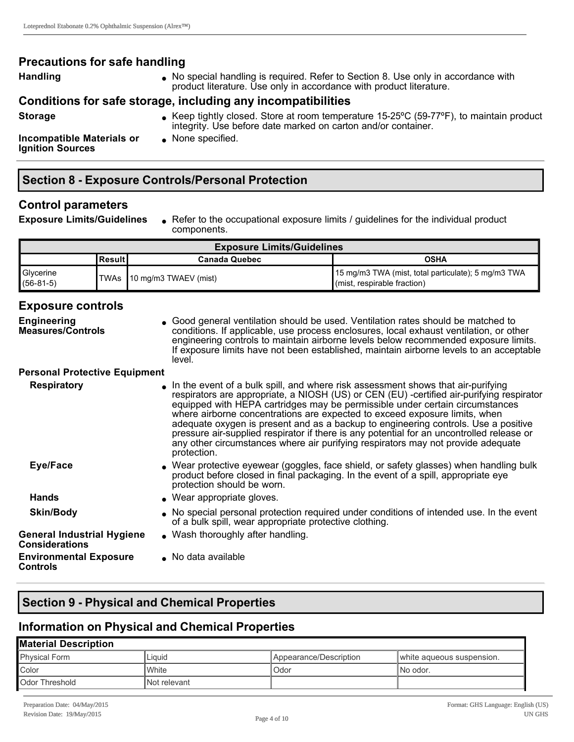#### **Precautions for safe handling**

Handling **Handling** No special handling is required. Refer to Section 8. Use only in accordance with product literature. Use only in accordance with product literature.

#### **Conditions for safe storage, including any incompatibilities**

- 
- **Storage Storage Store at room temperature 15-25°C (59-77°F), to maintain product** the state of the store at room temperature 15-25°C (59-77°F), to maintain product integrity. Use before date marked on carton and/or container.

**Incompatible Materials or Ignition Sources**

 $\bullet$  None specified.

#### **Section 8 Exposure Controls/Personal Protection**

#### **Control parameters**

**Exposure Limits/Guidelines** . Refer to the occupational exposure limits / guidelines for the individual product components.

| <b>Exposure Limits/Guidelines</b> |           |                             |                                                                                              |
|-----------------------------------|-----------|-----------------------------|----------------------------------------------------------------------------------------------|
|                                   | lResult I | <b>Canada Quebec</b>        | <b>OSHA</b>                                                                                  |
| <b>Glycerine</b><br>$(56-81-5)$   |           | TWAs ∥10 mg/m3 TWAEV (mist) | 15 mg/m3 TWA (mist, total particulate); 5 mg/m3 TWA<br>$\mathbf$ (mist, respirable fraction) |

#### **Exposure controls**

| <b>Engineering</b><br><b>Measures/Controls</b>             | • Good general ventilation should be used. Ventilation rates should be matched to<br>conditions. If applicable, use process enclosures, local exhaust ventilation, or other<br>engineering controls to maintain airborne levels below recommended exposure limits.<br>If exposure limits have not been established, maintain airborne levels to an acceptable<br>level.                                                                                                                                                                                                                                                           |
|------------------------------------------------------------|-----------------------------------------------------------------------------------------------------------------------------------------------------------------------------------------------------------------------------------------------------------------------------------------------------------------------------------------------------------------------------------------------------------------------------------------------------------------------------------------------------------------------------------------------------------------------------------------------------------------------------------|
| <b>Personal Protective Equipment</b>                       |                                                                                                                                                                                                                                                                                                                                                                                                                                                                                                                                                                                                                                   |
| <b>Respiratory</b>                                         | In the event of a bulk spill, and where risk assessment shows that air-purifying<br>respirators are appropriate, a NIOSH (US) or CEN (EU) -certified air-purifying respirator<br>equipped with HEPA cartridges may be permissible under certain circumstances<br>where airborne concentrations are expected to exceed exposure limits, when<br>adequate oxygen is present and as a backup to engineering controls. Use a positive<br>pressure air-supplied respirator if there is any potential for an uncontrolled release or<br>any other circumstances where air purifying respirators may not provide adequate<br>protection. |
| Eye/Face                                                   | • Wear protective eyewear (goggles, face shield, or safety glasses) when handling bulk<br>product before closed in final packaging. In the event of a spill, appropriate eye<br>protection should be worn.                                                                                                                                                                                                                                                                                                                                                                                                                        |
| <b>Hands</b>                                               | • Wear appropriate gloves.                                                                                                                                                                                                                                                                                                                                                                                                                                                                                                                                                                                                        |
| <b>Skin/Body</b>                                           | • No special personal protection required under conditions of intended use. In the event<br>of a bulk spill, wear appropriate protective clothing.                                                                                                                                                                                                                                                                                                                                                                                                                                                                                |
| <b>General Industrial Hygiene</b><br><b>Considerations</b> | • Wash thoroughly after handling.                                                                                                                                                                                                                                                                                                                                                                                                                                                                                                                                                                                                 |
| <b>Environmental Exposure</b><br><b>Controls</b>           | • No data available                                                                                                                                                                                                                                                                                                                                                                                                                                                                                                                                                                                                               |

#### **Section 9 Physical and Chemical Properties**

#### **Information on Physical and Chemical Properties**

| <b>Material Description</b> |               |                        |                           |
|-----------------------------|---------------|------------------------|---------------------------|
| <b>Physical Form</b>        | Liauid        | Appearance/Description | white aqueous suspension. |
| Color                       | White         | Odor                   | INo odor.                 |
| Odor Threshold              | INot relevant |                        |                           |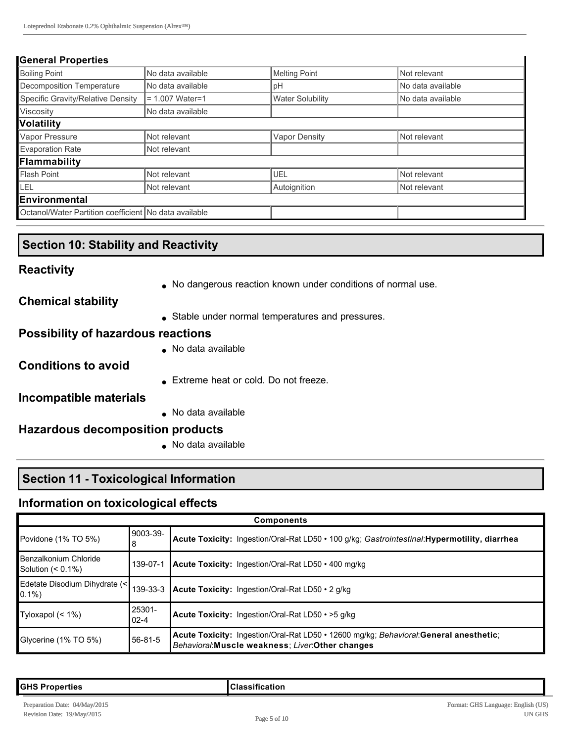#### **General Properties**

| <b>Boiling Point</b>                                  | No data available | <b>Melting Point</b>    | Not relevant      |
|-------------------------------------------------------|-------------------|-------------------------|-------------------|
| Decomposition Temperature                             | No data available | pH                      | No data available |
| Specific Gravity/Relative Density                     | $= 1.007$ Water=1 | <b>Water Solubility</b> | No data available |
| Viscosity                                             | No data available |                         |                   |
| Volatility                                            |                   |                         |                   |
| Vapor Pressure                                        | Not relevant      | Vapor Density           | Not relevant      |
| <b>Evaporation Rate</b>                               | Not relevant      |                         |                   |
| Flammability                                          |                   |                         |                   |
| <b>Flash Point</b>                                    | Not relevant      | UEL                     | Not relevant      |
| LEL<br>Not relevant                                   |                   | Autoignition            | Not relevant      |
| Environmental                                         |                   |                         |                   |
| Octanol/Water Partition coefficient No data available |                   |                         |                   |

#### **Section 10: Stability and Reactivity**

#### **Reactivity**

• No dangerous reaction known under conditions of normal use.

#### **Chemical stability**

• Stable under normal temperatures and pressures.

#### **Possibility of hazardous reactions**

 $\bullet$  No data available

#### **Conditions to avoid**

**Extreme heat or cold. Do not freeze.** 

#### **Incompatible materials**

 $\bullet$  No data available

#### **Hazardous decomposition products**

 $\bullet$  No data available

#### **Section 11 - Toxicological Information**

#### **Information on toxicological effects**

| <b>Components</b>                          |                    |                                                                                                                                             |
|--------------------------------------------|--------------------|---------------------------------------------------------------------------------------------------------------------------------------------|
| Povidone (1% TO 5%)                        | 9003-39-<br>8      | Acute Toxicity: Ingestion/Oral-Rat LD50 · 100 g/kg; Gastrointestinal: Hypermotility, diarrhea                                               |
| Benzalkonium Chloride<br>Solution (< 0.1%) | 139-07-1           | <b>Acute Toxicity:</b> Ingestion/Oral-Rat LD50 $\cdot$ 400 mg/kg                                                                            |
| Edetate Disodium Dihydrate (<<br>$0.1\%$   |                    | 139-33-3 Acute Toxicity: Ingestion/Oral-Rat LD50 • 2 g/kg                                                                                   |
| Tyloxapol $($ < 1% $)$                     | 25301-<br>$02 - 4$ | Acute Toxicity: Ingestion/Oral-Rat LD50 • > 5 g/kg                                                                                          |
| Glycerine (1% TO 5%)                       | 56-81-5            | Acute Toxicity: Ingestion/Oral-Rat LD50 • 12600 mg/kg; Behavioral: General anesthetic;<br>Behavioral: Muscle weakness; Liver: Other changes |

#### **GHS Properties Classification**

I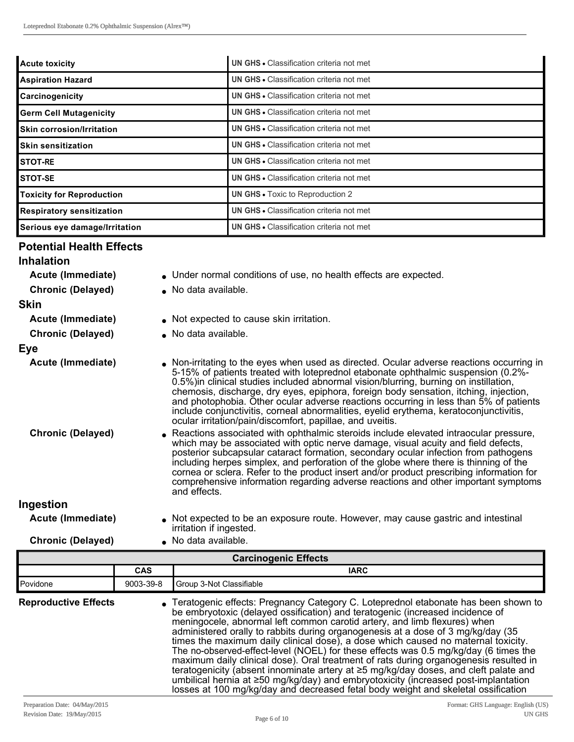| <b>Acute toxicity</b>            | UN GHS . Classification criteria not met        |
|----------------------------------|-------------------------------------------------|
| <b>Aspiration Hazard</b>         | <b>UN GHS • Classification criteria not met</b> |
| Carcinogenicity                  | <b>UN GHS • Classification criteria not met</b> |
| <b>Germ Cell Mutagenicity</b>    | <b>UN GHS • Classification criteria not met</b> |
| <b>Skin corrosion/Irritation</b> | <b>UN GHS • Classification criteria not met</b> |
| <b>Skin sensitization</b>        | <b>UN GHS • Classification criteria not met</b> |
| <b>STOT-RE</b>                   | <b>UN GHS • Classification criteria not met</b> |
| STOT-SE                          | <b>UN GHS • Classification criteria not met</b> |
| <b>Toxicity for Reproduction</b> | <b>UN GHS • Toxic to Reproduction 2</b>         |
| <b>Respiratory sensitization</b> | <b>UN GHS • Classification criteria not met</b> |
| Serious eye damage/Irritation    | <b>UN GHS • Classification criteria not met</b> |

# **Potential Health Effects**

- Acute (Immediate) **Inder normal conditions of use, no health effects are expected.**
- **Chronic (Delayed)** . No data available.

#### **Skin**

- 
- **Acute (Immediate)** . Not expected to cause skin irritation.
	- **Chronic (Delayed)** . No data available.

#### **Eye**

- **Acute (Immediate)** lon-irritating to the eyes when used as directed. Ocular adverse reactions occurring in 5-15% of patients treated with loteprednol etabonate ophthalmic suspension (0.2%-0.5%)in clinical studies included abnormal vision/blurring, burning on instillation, chemosis, discharge, dry eyes, epiphora, foreign body sensation, itching, injection, and photophobia. Other ocular adverse reactions occurring in less than 5% of patients include conjunctivitis, corneal abnormalities, eyelid erythema, keratoconjunctivitis, ocular irritation/pain/discomfort, papillae, and uveitis.
- **Chronic (Delayed) .** Reactions associated with ophthalmic steroids include elevated intraocular pressure, which may be associated with optic nerve damage, visual acuity and field defects, posterior subcapsular cataract formation, secondary ocular infection from pathogens including herpes simplex, and perforation of the globe where there is thinning of the cornea or sclera. Refer to the product insert and/or product prescribing information for comprehensive information regarding adverse reactions and other important symptoms and effects.

#### **Ingestion**

- **Acute (Immediate)** . Not expected to be an exposure route. However, may cause gastric and intestinal irritation if ingested.
- **Chronic (Delayed)** . No data available.

| <b>Carcinogenic Effects</b> |            |                                                                                                                                                                                                                                                                                                                                                                                                                                                                                                                                                                                                                                                                                                                                                                                                                                                                                 |  |
|-----------------------------|------------|---------------------------------------------------------------------------------------------------------------------------------------------------------------------------------------------------------------------------------------------------------------------------------------------------------------------------------------------------------------------------------------------------------------------------------------------------------------------------------------------------------------------------------------------------------------------------------------------------------------------------------------------------------------------------------------------------------------------------------------------------------------------------------------------------------------------------------------------------------------------------------|--|
|                             | <b>CAS</b> | <b>IARC</b>                                                                                                                                                                                                                                                                                                                                                                                                                                                                                                                                                                                                                                                                                                                                                                                                                                                                     |  |
| Povidone                    | 9003-39-8  | Group 3-Not Classifiable                                                                                                                                                                                                                                                                                                                                                                                                                                                                                                                                                                                                                                                                                                                                                                                                                                                        |  |
| <b>Reproductive Effects</b> |            | • Teratogenic effects: Pregnancy Category C. Loteprednol etabonate has been shown to<br>be embryotoxic (delayed ossification) and teratogenic (increased incidence of<br>meningocele, abnormal left common carotid artery, and limb flexures) when<br>administered orally to rabbits during organogenesis at a dose of 3 mg/kg/day (35<br>times the maximum daily clinical dose), a dose which caused no maternal toxicity.<br>The no-observed-effect-level (NOEL) for these effects was 0.5 mg/kg/day (6 times the<br>maximum daily clinical dose). Oral treatment of rats during organogenesis resulted in<br>teratogenicity (absent innominate artery at ≥5 mg/kg/day doses, and cleft palate and<br>umbilical hernia at ≥50 mg/kg/day) and embryotoxicity (increased post-implantation<br>losses at 100 mg/kg/day and decreased fetal body weight and skeletal ossification |  |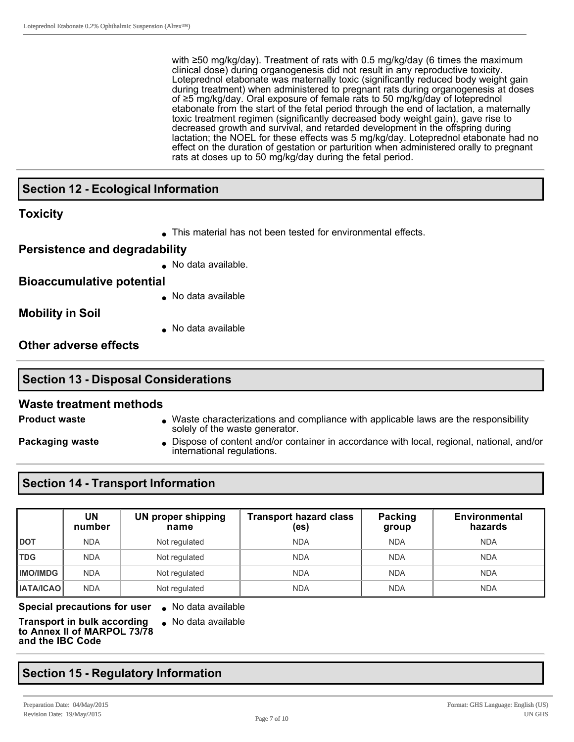with ≥50 mg/kg/day). Treatment of rats with 0.5 mg/kg/day (6 times the maximum clinical dose) during organogenesis did not result in any reproductive toxicity. Loteprednol etabonate was maternally toxic (significantly reduced body weight gain during treatment) when administered to pregnant rats during organogenesis at doses of ≥5 mg/kg/day. Oral exposure of female rats to 50 mg/kg/day of loteprednol etabonate from the start of the fetal period through the end of lactation, a maternally toxic treatment regimen (significantly decreased body weight gain), gave rise to decreased growth and survival, and retarded development in the offspring during lactation; the NOEL for these effects was 5 mg/kg/day. Loteprednol etabonate had no effect on the duration of gestation or parturition when administered orally to pregnant rats at doses up to 50 mg/kg/day during the fetal period.

#### **Section 12 Ecological Information**

#### **Toxicity**

• This material has not been tested for environmental effects.

#### **Persistence and degradability**

 $\bullet$  No data available.

#### **Bioaccumulative potential**

• No data available

**Mobility in Soil**

 $\bullet$  No data available

**Other adverse effects**

# **Section 13 Disposal Considerations**

#### **Waste treatment methods**

- **Product waste lace in Archaracterizations and compliance with applicable laws are the responsibility** solely of the waste generator.
- 
- **Packaging waste lies in Dispose of content and/or container in accordance with local, regional, national, and/or**

# international regulations.

#### **Section 14 Transport Information**

|                  | UN<br>number | <b>UN proper shipping</b><br>name | <b>Transport hazard class</b><br>(es) | Packing<br>group | <b>Environmental</b><br>hazards |
|------------------|--------------|-----------------------------------|---------------------------------------|------------------|---------------------------------|
| <b>DOT</b>       | <b>NDA</b>   | Not regulated                     | <b>NDA</b>                            | <b>NDA</b>       | <b>NDA</b>                      |
| <b>TDG</b>       | <b>NDA</b>   | Not regulated                     | <b>NDA</b>                            | <b>NDA</b>       | <b>NDA</b>                      |
| <b>IMO/IMDG</b>  | <b>NDA</b>   | Not regulated                     | <b>NDA</b>                            | <b>NDA</b>       | <b>NDA</b>                      |
| <b>IATA/ICAO</b> | <b>NDA</b>   | Not regulated                     | <b>NDA</b>                            | <b>NDA</b>       | <b>NDA</b>                      |

**Special precautions for user** . No data available

**Transport in bulk according to Annex II of MARPOL 73/78 and the IBC Code**

 $\bullet$  No data available

# **Section 15 Regulatory Information**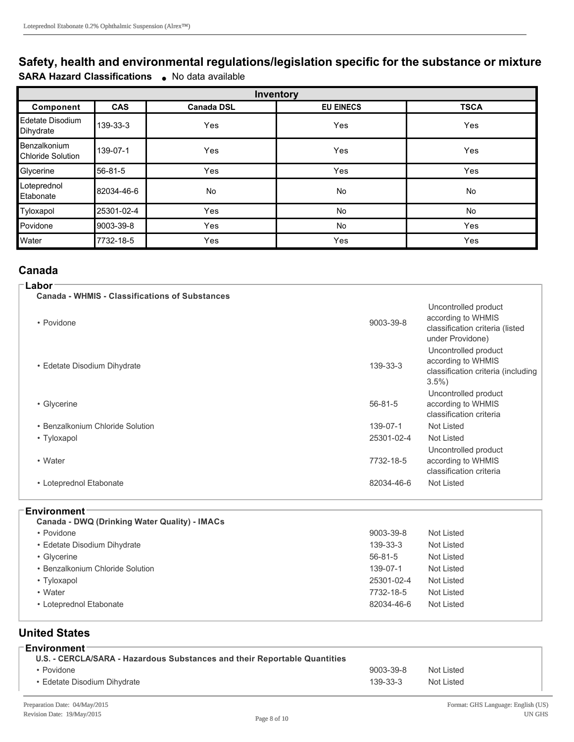## **Safety, health and environmental regulations/legislation specific for the substance or mixture SARA Hazard Classifications** . No data available

| Inventory                                |            |                   |                  |             |
|------------------------------------------|------------|-------------------|------------------|-------------|
| Component                                | <b>CAS</b> | <b>Canada DSL</b> | <b>EU EINECS</b> | <b>TSCA</b> |
| Edetate Disodium<br>Dihydrate            | 139-33-3   | Yes               | Yes              | Yes         |
| Benzalkonium<br><b>Chloride Solution</b> | 139-07-1   | Yes               | Yes              | Yes         |
| Glycerine                                | 56-81-5    | Yes               | Yes              | Yes         |
| Loteprednol<br>Etabonate                 | 82034-46-6 | No                | <b>No</b>        | <b>No</b>   |
| Tyloxapol                                | 25301-02-4 | Yes               | No               | No          |
| Povidone                                 | 9003-39-8  | Yes               | <b>No</b>        | Yes         |
| Water                                    | 7732-18-5  | Yes               | Yes              | Yes         |

## **Canada**

| Labor<br><b>Canada - WHMIS - Classifications of Substances</b> |               |                                                                                                   |
|----------------------------------------------------------------|---------------|---------------------------------------------------------------------------------------------------|
| • Povidone                                                     | 9003-39-8     | Uncontrolled product<br>according to WHMIS<br>classification criteria (listed<br>under Providone) |
| • Edetate Disodium Dihydrate                                   | 139-33-3      | Uncontrolled product<br>according to WHMIS<br>classification criteria (including<br>$3.5\%$       |
| • Glycerine                                                    | $56 - 81 - 5$ | Uncontrolled product<br>according to WHMIS<br>classification criteria                             |
| • Benzalkonium Chloride Solution                               | 139-07-1      | Not Listed                                                                                        |
| • Tyloxapol                                                    | 25301-02-4    | Not Listed                                                                                        |
| • Water                                                        | 7732-18-5     | Uncontrolled product<br>according to WHMIS<br>classification criteria                             |
| • Loteprednol Etabonate                                        | 82034-46-6    | Not Listed                                                                                        |
|                                                                |               |                                                                                                   |

#### **Environment**

| <b>Canada - DWQ (Drinking Water Quality) - IMACs</b> |               |            |
|------------------------------------------------------|---------------|------------|
| • Povidone                                           | 9003-39-8     | Not Listed |
| • Edetate Disodium Dihydrate                         | 139-33-3      | Not Listed |
| • Glycerine                                          | $56 - 81 - 5$ | Not Listed |
| • Benzalkonium Chloride Solution                     | 139-07-1      | Not Listed |
| • Tyloxapol                                          | 25301-02-4    | Not Listed |
| • Water                                              | 7732-18-5     | Not Listed |
| • Loteprednol Etabonate                              | 82034-46-6    | Not Listed |

#### **United States**

| ⊺Environment⊺<br>U.S. - CERCLA/SARA - Hazardous Substances and their Reportable Quantities |                |            |
|--------------------------------------------------------------------------------------------|----------------|------------|
| • Povidone                                                                                 | 9003-39-8      | Not Listed |
| • Edetate Disodium Dihydrate                                                               | $139 - 33 - 3$ | Not Listed |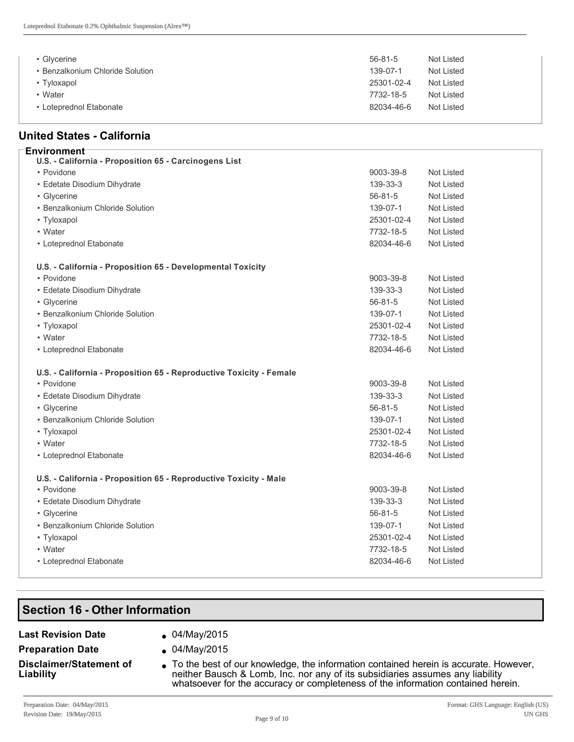| • Glycerine                      | $56 - 81 - 5$ | Not Listed |
|----------------------------------|---------------|------------|
| • Benzalkonium Chloride Solution | 139-07-1      | Not Listed |
| • Tyloxapol                      | 25301-02-4    | Not Listed |
| • Water                          | 7732-18-5     | Not Listed |
| • Loteprednol Etabonate          | 82034-46-6    | Not Listed |

#### **United States California**

| <b>Environment</b>                                                  |               |                   |
|---------------------------------------------------------------------|---------------|-------------------|
| U.S. - California - Proposition 65 - Carcinogens List               |               |                   |
| • Povidone                                                          | 9003-39-8     | Not Listed        |
| • Edetate Disodium Dihydrate                                        | 139-33-3      | <b>Not Listed</b> |
| • Glycerine                                                         | $56 - 81 - 5$ | <b>Not Listed</b> |
| • Benzalkonium Chloride Solution                                    | 139-07-1      | Not Listed        |
| • Tyloxapol                                                         | 25301-02-4    | Not Listed        |
| • Water                                                             | 7732-18-5     | <b>Not Listed</b> |
| • Loteprednol Etabonate                                             | 82034-46-6    | <b>Not Listed</b> |
| U.S. - California - Proposition 65 - Developmental Toxicity         |               |                   |
| • Povidone                                                          | 9003-39-8     | <b>Not Listed</b> |
| • Edetate Disodium Dihydrate                                        | 139-33-3      | <b>Not Listed</b> |
| • Glycerine                                                         | $56 - 81 - 5$ | <b>Not Listed</b> |
| • Benzalkonium Chloride Solution                                    | 139-07-1      | Not Listed        |
| • Tyloxapol                                                         | 25301-02-4    | Not Listed        |
| • Water                                                             | 7732-18-5     | Not Listed        |
| • Loteprednol Etabonate                                             | 82034-46-6    | Not Listed        |
| U.S. - California - Proposition 65 - Reproductive Toxicity - Female |               |                   |
| • Povidone                                                          | 9003-39-8     | Not Listed        |
| • Edetate Disodium Dihydrate                                        | 139-33-3      | Not Listed        |
| • Glycerine                                                         | $56 - 81 - 5$ | Not Listed        |
| • Benzalkonium Chloride Solution                                    | 139-07-1      | <b>Not Listed</b> |
| • Tyloxapol                                                         | 25301-02-4    | <b>Not Listed</b> |
| • Water                                                             | 7732-18-5     | Not Listed        |
| • Loteprednol Etabonate                                             | 82034-46-6    | Not Listed        |
| U.S. - California - Proposition 65 - Reproductive Toxicity - Male   |               |                   |
| • Povidone                                                          | 9003-39-8     | <b>Not Listed</b> |
| • Edetate Disodium Dihydrate                                        | 139-33-3      | Not Listed        |
| • Glycerine                                                         | $56 - 81 - 5$ | <b>Not Listed</b> |
| • Benzalkonium Chloride Solution                                    | 139-07-1      | Not Listed        |
| • Tyloxapol                                                         | 25301-02-4    | Not Listed        |
| • Water                                                             | 7732-18-5     | <b>Not Listed</b> |
| • Loteprednol Etabonate                                             | 82034-46-6    | Not Listed        |
|                                                                     |               |                   |

## **Section 16 - Other Information**

#### **Last Revision Date .** 04/May/2015

- 
- **Preparation Date e** 04/May/2015
- 
- **Disclaimer/Statement of Liability**
- $\bullet$  To the best of our knowledge, the information contained herein is accurate. However, neither Bausch & Lomb, Inc. nor any of its subsidiaries assumes any liability whatsoever for the accuracy or completeness of the information contained herein.